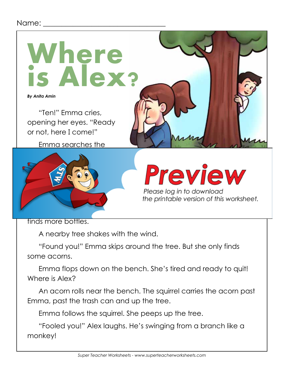#### Name: \_



A nearby tree shakes with the wind.

"Found you!" Emma skips around the tree. But she only finds some acorns.

Emma flops down on the bench. She's tired and ready to quit! Where is Alex?

An acorn rolls near the bench. The squirrel carries the acorn past Emma, past the trash can and up the tree.

Emma follows the squirrel. She peeps up the tree.

"Fooled you!" Alex laughs. He's swinging from a branch like a monkey!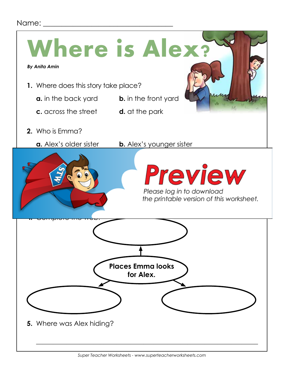### Name:

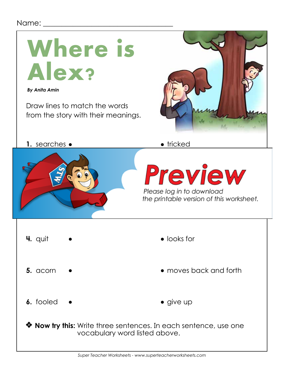#### Name:

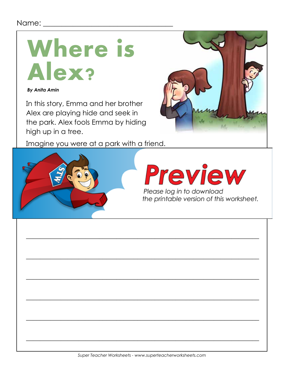### 



**By Anita Amin** 

In this story, Emma and her brother Alex are playing hide and seek in the park. Alex fools Emma by hiding high up in a tree.



Imagine you were at a park with a friend.

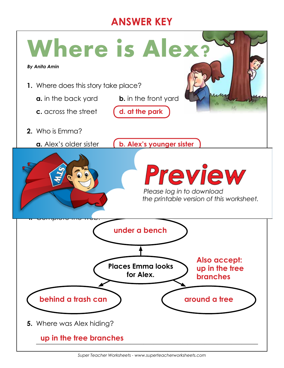# **ANSWER KEY**